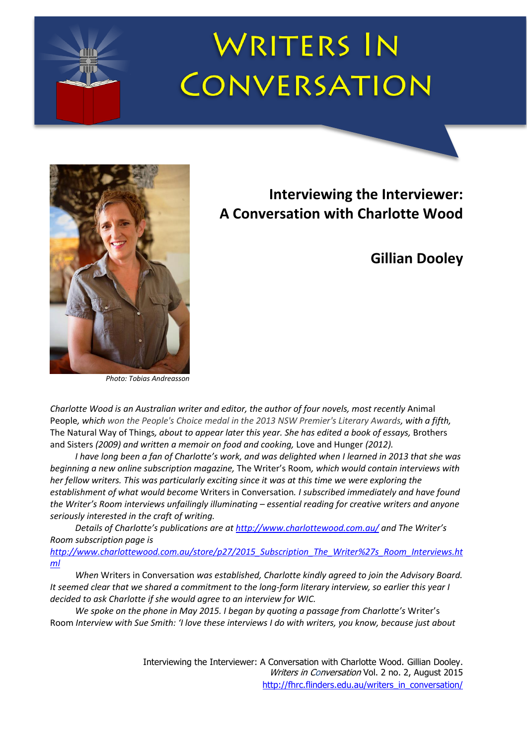# **WRITERS IN** CONVERSATION



*Photo: Tobias Andreasson*

# **Interviewing the Interviewer: A Conversation with Charlotte Wood**

# **Gillian Dooley**

*Charlotte Wood is an Australian writer and editor, the author of four novels, most recently* Animal People*, which won the People's Choice medal in the 2013 NSW Premier's Literary Awards, with a fifth,*  The Natural Way of Things*, about to appear later this year. She has edited a book of essays,* Brothers and Sisters *(2009) and written a memoir on food and cooking,* Love and Hunger *(2012).*

*I have long been a fan of Charlotte's work, and was delighted when I learned in 2013 that she was beginning a new online subscription magazine,* The Writer's Room*, which would contain interviews with her fellow writers. This was particularly exciting since it was at this time we were exploring the establishment of what would become* Writers in Conversation*. I subscribed immediately and have found the Writer's Room interviews unfailingly illuminating – essential reading for creative writers and anyone seriously interested in the craft of writing.* 

*Details of Charlotte's publications are at <http://www.charlottewood.com.au/> and The Writer's Room subscription page is [http://www.charlottewood.com.au/store/p27/2015\\_Subscription\\_The\\_Writer%27s\\_Room\\_Interviews.ht](http://www.charlottewood.com.au/store/p27/2015_Subscription_The_Writer%27s_Room_Interviews.html)*

*[ml](http://www.charlottewood.com.au/store/p27/2015_Subscription_The_Writer%27s_Room_Interviews.html)*

*When* Writers in Conversation *was established, Charlotte kindly agreed to join the Advisory Board. It seemed clear that we shared a commitment to the long-form literary interview, so earlier this year I decided to ask Charlotte if she would agree to an interview for WIC.* 

*We spoke on the phone in May 2015. I began by quoting a passage from Charlotte's* Writer's Room *Interview with Sue Smith: 'I love these interviews I do with writers, you know, because just about*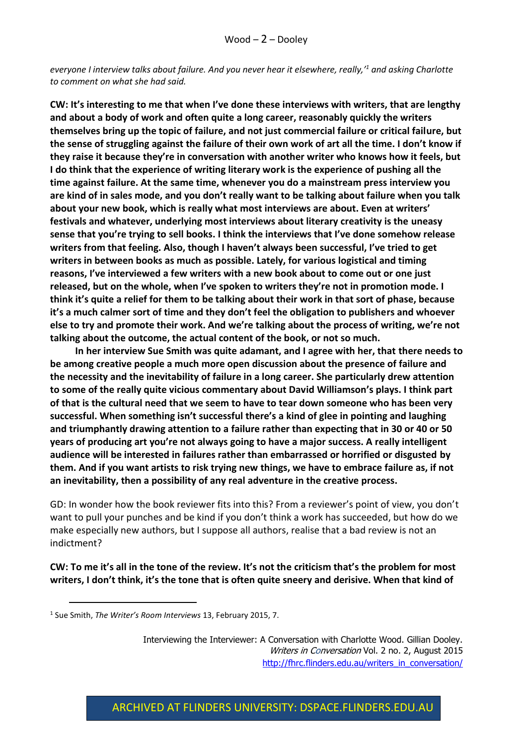*everyone I interview talks about failure. And you never hear it elsewhere, really,'<sup>1</sup> and asking Charlotte to comment on what she had said.* 

**CW: It's interesting to me that when I've done these interviews with writers, that are lengthy and about a body of work and often quite a long career, reasonably quickly the writers themselves bring up the topic of failure, and not just commercial failure or critical failure, but the sense of struggling against the failure of their own work of art all the time. I don't know if they raise it because they're in conversation with another writer who knows how it feels, but I do think that the experience of writing literary work is the experience of pushing all the time against failure. At the same time, whenever you do a mainstream press interview you are kind of in sales mode, and you don't really want to be talking about failure when you talk about your new book, which is really what most interviews are about. Even at writers' festivals and whatever, underlying most interviews about literary creativity is the uneasy sense that you're trying to sell books. I think the interviews that I've done somehow release writers from that feeling. Also, though I haven't always been successful, I've tried to get writers in between books as much as possible. Lately, for various logistical and timing reasons, I've interviewed a few writers with a new book about to come out or one just released, but on the whole, when I've spoken to writers they're not in promotion mode. I think it's quite a relief for them to be talking about their work in that sort of phase, because it's a much calmer sort of time and they don't feel the obligation to publishers and whoever else to try and promote their work. And we're talking about the process of writing, we're not talking about the outcome, the actual content of the book, or not so much.**

**In her interview Sue Smith was quite adamant, and I agree with her, that there needs to be among creative people a much more open discussion about the presence of failure and the necessity and the inevitability of failure in a long career. She particularly drew attention to some of the really quite vicious commentary about David Williamson's plays. I think part of that is the cultural need that we seem to have to tear down someone who has been very successful. When something isn't successful there's a kind of glee in pointing and laughing and triumphantly drawing attention to a failure rather than expecting that in 30 or 40 or 50 years of producing art you're not always going to have a major success. A really intelligent audience will be interested in failures rather than embarrassed or horrified or disgusted by them. And if you want artists to risk trying new things, we have to embrace failure as, if not an inevitability, then a possibility of any real adventure in the creative process.**

GD: In wonder how the book reviewer fits into this? From a reviewer's point of view, you don't want to pull your punches and be kind if you don't think a work has succeeded, but how do we make especially new authors, but I suppose all authors, realise that a bad review is not an indictment?

**CW: To me it's all in the tone of the review. It's not the criticism that's the problem for most writers, I don't think, it's the tone that is often quite sneery and derisive. When that kind of** 

<u>.</u>

<sup>1</sup> Sue Smith, *The Writer's Room Interviews* 13, February 2015, 7.

Interviewing the Interviewer: A Conversation with Charlotte Wood. Gillian Dooley. Writers in Conversation Vol. 2 no. 2, August 2015 [http://fhrc.flinders.edu.au/writers\\_in\\_conversation/](http://fhrc.flinders.edu.au/writers_in_conversation/)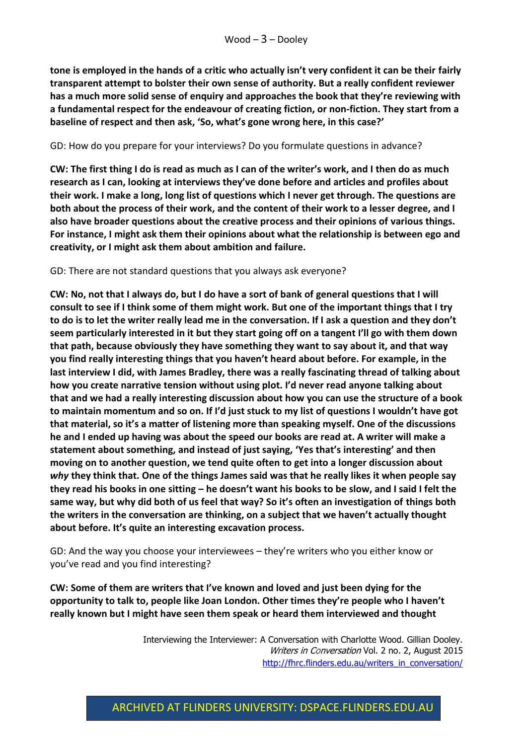**tone is employed in the hands of a critic who actually isn't very confident it can be their fairly transparent attempt to bolster their own sense of authority. But a really confident reviewer has a much more solid sense of enquiry and approaches the book that they're reviewing with a fundamental respect for the endeavour of creating fiction, or non-fiction. They start from a baseline of respect and then ask, 'So, what's gone wrong here, in this case?'**

#### GD: How do you prepare for your interviews? Do you formulate questions in advance?

**CW: The first thing I do is read as much as I can of the writer's work, and I then do as much research as I can, looking at interviews they've done before and articles and profiles about their work. I make a long, long list of questions which I never get through. The questions are both about the process of their work, and the content of their work to a lesser degree, and I also have broader questions about the creative process and their opinions of various things. For instance, I might ask them their opinions about what the relationship is between ego and creativity, or I might ask them about ambition and failure.**

#### GD: There are not standard questions that you always ask everyone?

**CW: No, not that I always do, but I do have a sort of bank of general questions that I will consult to see if I think some of them might work. But one of the important things that I try to do is to let the writer really lead me in the conversation. If I ask a question and they don't seem particularly interested in it but they start going off on a tangent I'll go with them down that path, because obviously they have something they want to say about it, and that way you find really interesting things that you haven't heard about before. For example, in the last interview I did, with James Bradley, there was a really fascinating thread of talking about how you create narrative tension without using plot. I'd never read anyone talking about that and we had a really interesting discussion about how you can use the structure of a book to maintain momentum and so on. If I'd just stuck to my list of questions I wouldn't have got that material, so it's a matter of listening more than speaking myself. One of the discussions he and I ended up having was about the speed our books are read at. A writer will make a statement about something, and instead of just saying, 'Yes that's interesting' and then moving on to another question, we tend quite often to get into a longer discussion about**  *why* **they think that. One of the things James said was that he really likes it when people say they read his books in one sitting – he doesn't want his books to be slow, and I said I felt the same way, but why did both of us feel that way? So it's often an investigation of things both the writers in the conversation are thinking, on a subject that we haven't actually thought about before. It's quite an interesting excavation process.**

GD: And the way you choose your interviewees – they're writers who you either know or you've read and you find interesting?

**CW: Some of them are writers that I've known and loved and just been dying for the opportunity to talk to, people like Joan London. Other times they're people who I haven't really known but I might have seen them speak or heard them interviewed and thought**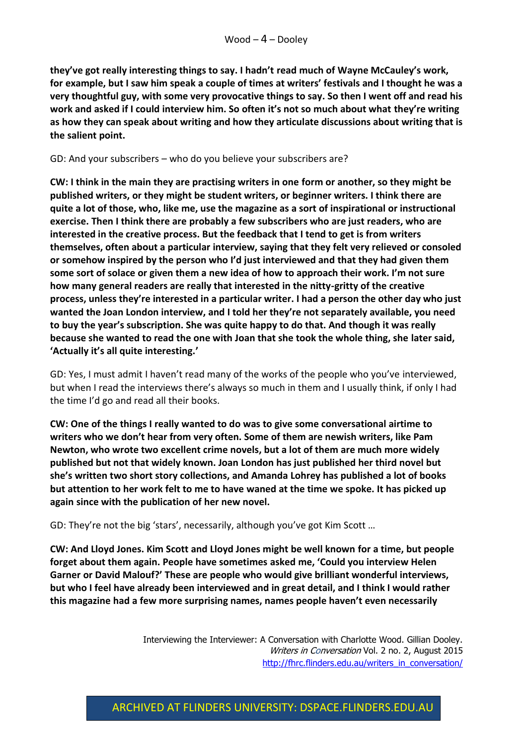**they've got really interesting things to say. I hadn't read much of Wayne McCauley's work, for example, but I saw him speak a couple of times at writers' festivals and I thought he was a very thoughtful guy, with some very provocative things to say. So then I went off and read his work and asked if I could interview him. So often it's not so much about what they're writing as how they can speak about writing and how they articulate discussions about writing that is the salient point.**

#### GD: And your subscribers – who do you believe your subscribers are?

**CW: I think in the main they are practising writers in one form or another, so they might be published writers, or they might be student writers, or beginner writers. I think there are quite a lot of those, who, like me, use the magazine as a sort of inspirational or instructional exercise. Then I think there are probably a few subscribers who are just readers, who are interested in the creative process. But the feedback that I tend to get is from writers themselves, often about a particular interview, saying that they felt very relieved or consoled or somehow inspired by the person who I'd just interviewed and that they had given them some sort of solace or given them a new idea of how to approach their work. I'm not sure how many general readers are really that interested in the nitty-gritty of the creative process, unless they're interested in a particular writer. I had a person the other day who just wanted the Joan London interview, and I told her they're not separately available, you need to buy the year's subscription. She was quite happy to do that. And though it was really because she wanted to read the one with Joan that she took the whole thing, she later said, 'Actually it's all quite interesting.'**

GD: Yes, I must admit I haven't read many of the works of the people who you've interviewed, but when I read the interviews there's always so much in them and I usually think, if only I had the time I'd go and read all their books.

**CW: One of the things I really wanted to do was to give some conversational airtime to writers who we don't hear from very often. Some of them are newish writers, like Pam Newton, who wrote two excellent crime novels, but a lot of them are much more widely published but not that widely known. Joan London has just published her third novel but she's written two short story collections, and Amanda Lohrey has published a lot of books but attention to her work felt to me to have waned at the time we spoke. It has picked up again since with the publication of her new novel.**

GD: They're not the big 'stars', necessarily, although you've got Kim Scott …

**CW: And Lloyd Jones. Kim Scott and Lloyd Jones might be well known for a time, but people forget about them again. People have sometimes asked me, 'Could you interview Helen Garner or David Malouf?' These are people who would give brilliant wonderful interviews, but who I feel have already been interviewed and in great detail, and I think I would rather this magazine had a few more surprising names, names people haven't even necessarily**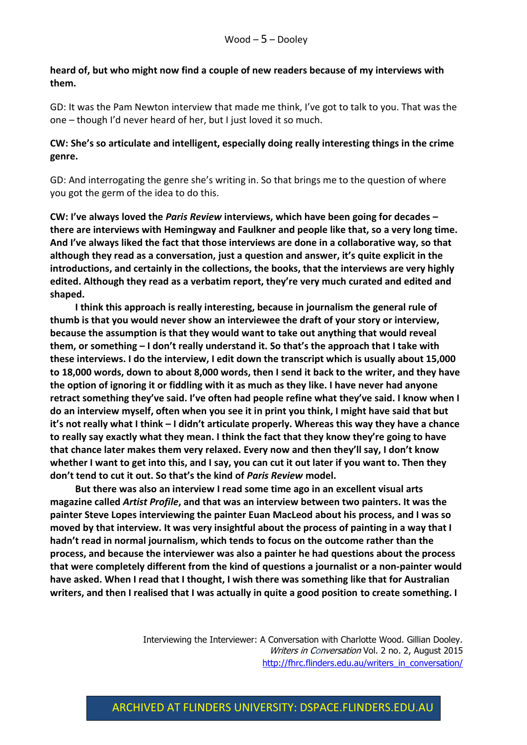## **heard of, but who might now find a couple of new readers because of my interviews with them.**

GD: It was the Pam Newton interview that made me think, I've got to talk to you. That was the one – though I'd never heard of her, but I just loved it so much.

### **CW: She's so articulate and intelligent, especially doing really interesting things in the crime genre.**

GD: And interrogating the genre she's writing in. So that brings me to the question of where you got the germ of the idea to do this.

**CW: I've always loved the** *Paris Review* **interviews, which have been going for decades – there are interviews with Hemingway and Faulkner and people like that, so a very long time. And I've always liked the fact that those interviews are done in a collaborative way, so that although they read as a conversation, just a question and answer, it's quite explicit in the introductions, and certainly in the collections, the books, that the interviews are very highly edited. Although they read as a verbatim report, they're very much curated and edited and shaped.** 

**I think this approach is really interesting, because in journalism the general rule of thumb is that you would never show an interviewee the draft of your story or interview, because the assumption is that they would want to take out anything that would reveal them, or something – I don't really understand it. So that's the approach that I take with these interviews. I do the interview, I edit down the transcript which is usually about 15,000 to 18,000 words, down to about 8,000 words, then I send it back to the writer, and they have the option of ignoring it or fiddling with it as much as they like. I have never had anyone retract something they've said. I've often had people refine what they've said. I know when I do an interview myself, often when you see it in print you think, I might have said that but it's not really what I think – I didn't articulate properly. Whereas this way they have a chance to really say exactly what they mean. I think the fact that they know they're going to have that chance later makes them very relaxed. Every now and then they'll say, I don't know whether I want to get into this, and I say, you can cut it out later if you want to. Then they don't tend to cut it out. So that's the kind of** *Paris Review* **model.** 

**But there was also an interview I read some time ago in an excellent visual arts magazine called** *Artist Profile***, and that was an interview between two painters. It was the painter Steve Lopes interviewing the painter Euan MacLeod about his process, and I was so moved by that interview. It was very insightful about the process of painting in a way that I hadn't read in normal journalism, which tends to focus on the outcome rather than the process, and because the interviewer was also a painter he had questions about the process that were completely different from the kind of questions a journalist or a non-painter would have asked. When I read that I thought, I wish there was something like that for Australian writers, and then I realised that I was actually in quite a good position to create something. I**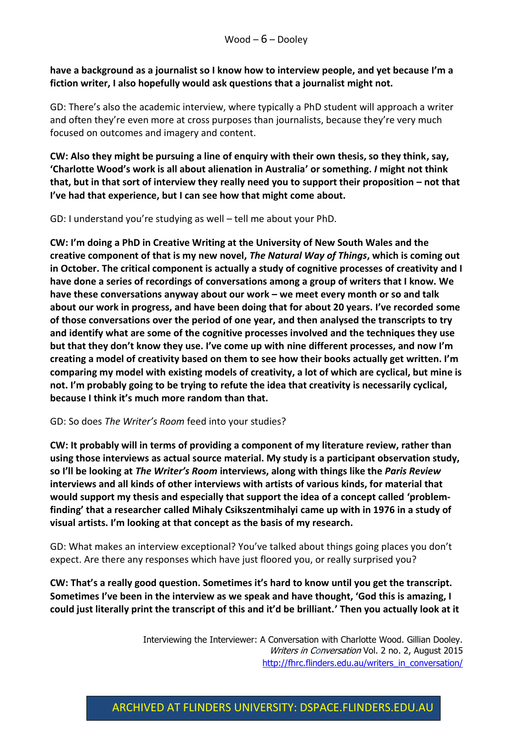## **have a background as a journalist so I know how to interview people, and yet because I'm a fiction writer, I also hopefully would ask questions that a journalist might not.**

GD: There's also the academic interview, where typically a PhD student will approach a writer and often they're even more at cross purposes than journalists, because they're very much focused on outcomes and imagery and content.

**CW: Also they might be pursuing a line of enquiry with their own thesis, so they think, say, 'Charlotte Wood's work is all about alienation in Australia' or something.** *I* **might not think that, but in that sort of interview they really need you to support their proposition – not that I've had that experience, but I can see how that might come about.** 

GD: I understand you're studying as well – tell me about your PhD.

**CW: I'm doing a PhD in Creative Writing at the University of New South Wales and the creative component of that is my new novel,** *The Natural Way of Things***, which is coming out in October. The critical component is actually a study of cognitive processes of creativity and I have done a series of recordings of conversations among a group of writers that I know. We have these conversations anyway about our work – we meet every month or so and talk about our work in progress, and have been doing that for about 20 years. I've recorded some of those conversations over the period of one year, and then analysed the transcripts to try and identify what are some of the cognitive processes involved and the techniques they use but that they don't know they use. I've come up with nine different processes, and now I'm creating a model of creativity based on them to see how their books actually get written. I'm comparing my model with existing models of creativity, a lot of which are cyclical, but mine is not. I'm probably going to be trying to refute the idea that creativity is necessarily cyclical, because I think it's much more random than that.** 

#### GD: So does *The Writer's Room* feed into your studies?

**CW: It probably will in terms of providing a component of my literature review, rather than using those interviews as actual source material. My study is a participant observation study, so I'll be looking at** *The Writer's Room* **interviews, along with things like the** *Paris Review* **interviews and all kinds of other interviews with artists of various kinds, for material that would support my thesis and especially that support the idea of a concept called 'problemfinding' that a researcher called Mihaly Csikszentmihalyi came up with in 1976 in a study of visual artists. I'm looking at that concept as the basis of my research.**

GD: What makes an interview exceptional? You've talked about things going places you don't expect. Are there any responses which have just floored you, or really surprised you?

**CW: That's a really good question. Sometimes it's hard to know until you get the transcript. Sometimes I've been in the interview as we speak and have thought, 'God this is amazing, I could just literally print the transcript of this and it'd be brilliant.' Then you actually look at it**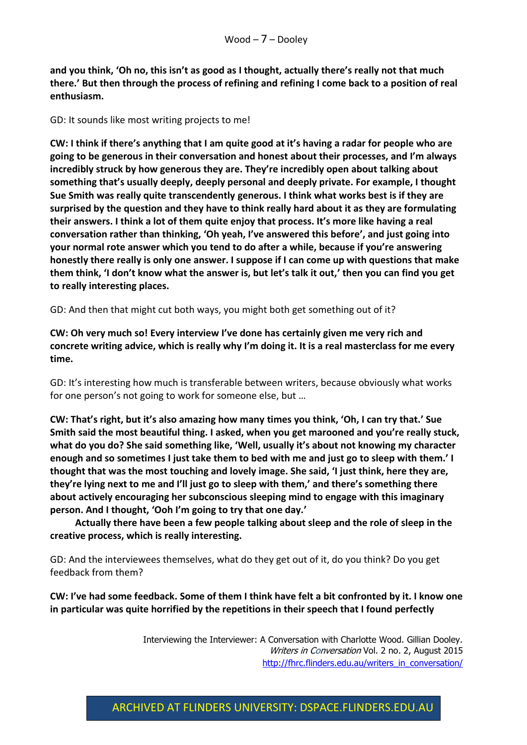**and you think, 'Oh no, this isn't as good as I thought, actually there's really not that much there.' But then through the process of refining and refining I come back to a position of real enthusiasm.**

#### GD: It sounds like most writing projects to me!

**CW: I think if there's anything that I am quite good at it's having a radar for people who are going to be generous in their conversation and honest about their processes, and I'm always incredibly struck by how generous they are. They're incredibly open about talking about something that's usually deeply, deeply personal and deeply private. For example, I thought Sue Smith was really quite transcendently generous. I think what works best is if they are surprised by the question and they have to think really hard about it as they are formulating their answers. I think a lot of them quite enjoy that process. It's more like having a real conversation rather than thinking, 'Oh yeah, I've answered this before', and just going into your normal rote answer which you tend to do after a while, because if you're answering honestly there really is only one answer. I suppose if I can come up with questions that make them think, 'I don't know what the answer is, but let's talk it out,' then you can find you get to really interesting places.**

GD: And then that might cut both ways, you might both get something out of it?

**CW: Oh very much so! Every interview I've done has certainly given me very rich and concrete writing advice, which is really why I'm doing it. It is a real masterclass for me every time.**

GD: It's interesting how much is transferable between writers, because obviously what works for one person's not going to work for someone else, but …

**CW: That's right, but it's also amazing how many times you think, 'Oh, I can try that.' Sue Smith said the most beautiful thing. I asked, when you get marooned and you're really stuck, what do you do? She said something like, 'Well, usually it's about not knowing my character enough and so sometimes I just take them to bed with me and just go to sleep with them.' I thought that was the most touching and lovely image. She said, 'I just think, here they are, they're lying next to me and I'll just go to sleep with them,' and there's something there about actively encouraging her subconscious sleeping mind to engage with this imaginary person. And I thought, 'Ooh I'm going to try that one day.'**

**Actually there have been a few people talking about sleep and the role of sleep in the creative process, which is really interesting.** 

GD: And the interviewees themselves, what do they get out of it, do you think? Do you get feedback from them?

**CW: I've had some feedback. Some of them I think have felt a bit confronted by it. I know one in particular was quite horrified by the repetitions in their speech that I found perfectly**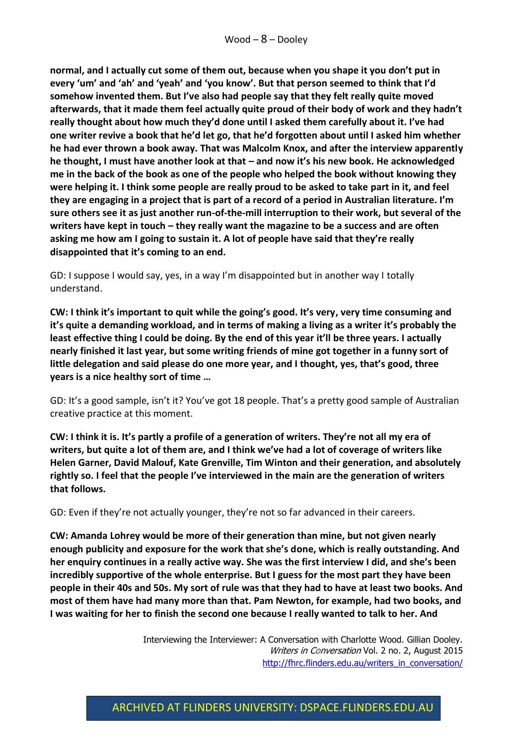**normal, and I actually cut some of them out, because when you shape it you don't put in every 'um' and 'ah' and 'yeah' and 'you know'. But that person seemed to think that I'd somehow invented them. But I've also had people say that they felt really quite moved afterwards, that it made them feel actually quite proud of their body of work and they hadn't really thought about how much they'd done until I asked them carefully about it. I've had one writer revive a book that he'd let go, that he'd forgotten about until I asked him whether he had ever thrown a book away. That was Malcolm Knox, and after the interview apparently he thought, I must have another look at that – and now it's his new book. He acknowledged me in the back of the book as one of the people who helped the book without knowing they were helping it. I think some people are really proud to be asked to take part in it, and feel they are engaging in a project that is part of a record of a period in Australian literature. I'm sure others see it as just another run-of-the-mill interruption to their work, but several of the writers have kept in touch – they really want the magazine to be a success and are often asking me how am I going to sustain it. A lot of people have said that they're really disappointed that it's coming to an end.** 

GD: I suppose I would say, yes, in a way I'm disappointed but in another way I totally understand.

**CW: I think it's important to quit while the going's good. It's very, very time consuming and it's quite a demanding workload, and in terms of making a living as a writer it's probably the least effective thing I could be doing. By the end of this year it'll be three years. I actually nearly finished it last year, but some writing friends of mine got together in a funny sort of little delegation and said please do one more year, and I thought, yes, that's good, three years is a nice healthy sort of time …**

GD: It's a good sample, isn't it? You've got 18 people. That's a pretty good sample of Australian creative practice at this moment.

**CW: I think it is. It's partly a profile of a generation of writers. They're not all my era of writers, but quite a lot of them are, and I think we've had a lot of coverage of writers like Helen Garner, David Malouf, Kate Grenville, Tim Winton and their generation, and absolutely rightly so. I feel that the people I've interviewed in the main are the generation of writers that follows.**

GD: Even if they're not actually younger, they're not so far advanced in their careers.

**CW: Amanda Lohrey would be more of their generation than mine, but not given nearly enough publicity and exposure for the work that she's done, which is really outstanding. And her enquiry continues in a really active way. She was the first interview I did, and she's been incredibly supportive of the whole enterprise. But I guess for the most part they have been people in their 40s and 50s. My sort of rule was that they had to have at least two books. And most of them have had many more than that. Pam Newton, for example, had two books, and I was waiting for her to finish the second one because I really wanted to talk to her. And** 

> Interviewing the Interviewer: A Conversation with Charlotte Wood. Gillian Dooley. Writers in Conversation Vol. 2 no. 2, August 2015 [http://fhrc.flinders.edu.au/writers\\_in\\_conversation/](http://fhrc.flinders.edu.au/writers_in_conversation/)

# ARCHIVED AT FLINDERS UNIVERSITY: DSPACE.FLINDERS.EDU.AU